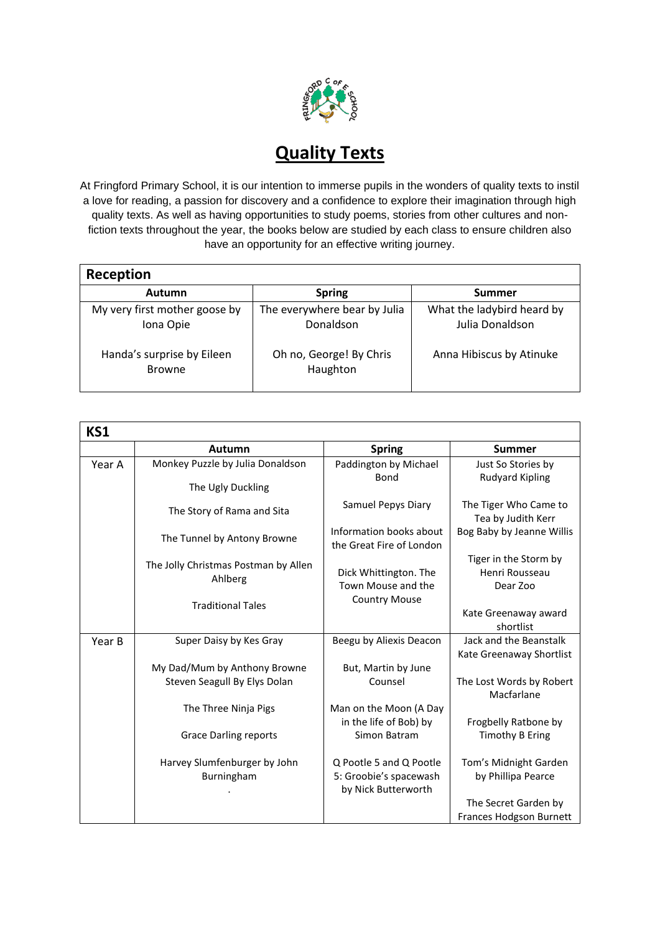

## **Quality Texts**

At Fringford Primary School, it is our intention to immerse pupils in the wonders of quality texts to instil a love for reading, a passion for discovery and a confidence to explore their imagination through high quality texts. As well as having opportunities to study poems, stories from other cultures and nonfiction texts throughout the year, the books below are studied by each class to ensure children also have an opportunity for an effective writing journey.

| Reception                                   |                                           |                                               |  |  |  |
|---------------------------------------------|-------------------------------------------|-----------------------------------------------|--|--|--|
| Autumn                                      | <b>Spring</b>                             | <b>Summer</b>                                 |  |  |  |
| My very first mother goose by<br>Iona Opie  | The everywhere bear by Julia<br>Donaldson | What the ladybird heard by<br>Julia Donaldson |  |  |  |
| Handa's surprise by Eileen<br><b>Browne</b> | Oh no, George! By Chris<br>Haughton       | Anna Hibiscus by Atinuke                      |  |  |  |

| <b>KS1</b> |                                                 |                                                                          |                                                        |
|------------|-------------------------------------------------|--------------------------------------------------------------------------|--------------------------------------------------------|
|            | Autumn                                          | <b>Spring</b>                                                            | <b>Summer</b>                                          |
| Year A     | Monkey Puzzle by Julia Donaldson                | Paddington by Michael                                                    | Just So Stories by                                     |
|            | The Ugly Duckling                               | Bond                                                                     | <b>Rudyard Kipling</b>                                 |
|            | The Story of Rama and Sita                      | Samuel Pepys Diary                                                       | The Tiger Who Came to<br>Tea by Judith Kerr            |
|            | The Tunnel by Antony Browne                     | Information books about<br>the Great Fire of London                      | Bog Baby by Jeanne Willis                              |
|            | The Jolly Christmas Postman by Allen<br>Ahlberg | Dick Whittington. The<br>Town Mouse and the                              | Tiger in the Storm by<br>Henri Rousseau<br>Dear Zoo    |
|            | <b>Traditional Tales</b>                        | <b>Country Mouse</b>                                                     | Kate Greenaway award<br>shortlist                      |
| Year B     | Super Daisy by Kes Gray                         | Beegu by Aliexis Deacon                                                  | Jack and the Beanstalk<br>Kate Greenaway Shortlist     |
|            | My Dad/Mum by Anthony Browne                    | But, Martin by June                                                      |                                                        |
|            | Steven Seagull By Elys Dolan                    | Counsel                                                                  | The Lost Words by Robert<br>Macfarlane                 |
|            | The Three Ninja Pigs                            | Man on the Moon (A Day<br>in the life of Bob) by                         | Frogbelly Ratbone by                                   |
|            | <b>Grace Darling reports</b>                    | Simon Batram                                                             | <b>Timothy B Ering</b>                                 |
|            | Harvey Slumfenburger by John<br>Burningham      | Q Pootle 5 and Q Pootle<br>5: Groobie's spacewash<br>by Nick Butterworth | Tom's Midnight Garden<br>by Phillipa Pearce            |
|            |                                                 |                                                                          | The Secret Garden by<br><b>Frances Hodgson Burnett</b> |